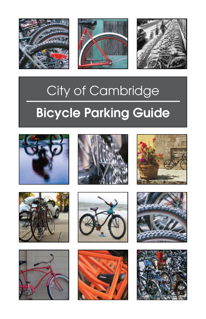





# City of Cambridge Bicycle Parking Guide

















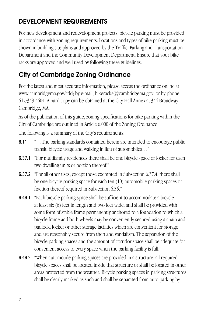## DEVELOPMENT REQUIREMENTS

For new development and redevelopment projects, bicycle parking must be provided in accordance with zoning requirements. Locations and types of bike parking must be shown in building site plans and approved by the Traffic, Parking and Transportation Department and the Community Development Department. Ensure that your bike racks are approved and well used by following these guidelines.

## City of Cambridge Zoning Ordinance

For the latest and most accurate information, please access the ordinance online at www.cambridgema.gov/cdd; by e-mail, bikeracks@cambridgema.gov, or by phone 617/349-4604. A hard copy can be obtained at the City Hall Annex at 344 Broadway, Cambridge, MA.

As of the publication of this guide, zoning specifications for bike parking within the City of Cambridge are outlined in Article 6.000 of the Zoning Ordinance.

The following is a summary of the City's requirements:

- 6.11 "…The parking standards contained herein are intended to encourage public transit, bicycle usage and walking in lieu of automobiles…"
- 6.37.1 "For multifamily residences there shall be one bicycle space or locker for each two dwelling units or portion thereof."
- 6.37.2 "For all other uses, except those exempted in Subsection 6.37.4, there shall be one bicycle parking space for each ten (10) automobile parking spaces or fraction thereof required in Subsection 6.36."
- 6.49.1 "Each bicycle parking space shall be sufficient to accommodate a bicycle at least six (6) feet in length and two feet wide, and shall be provided with some form of stable frame permanently anchored to a foundation to which a bicycle frame and both wheels may be conveniently secured using a chain and padlock, locker or other storage facilities which are convenient for storage and are reasonably secure from theft and vandalism. The separation of the bicycle parking spaces and the amount of corridor space shall be adequate for convenient access to every space when the parking facility is full."
- 6.49.2 "When automobile parking spaces are provided in a structure, all required bicycle spaces shall be located inside that structure or shall be located in other areas protected from the weather. Bicycle parking spaces in parking structures shall be clearly marked as such and shall be separated from auto parking by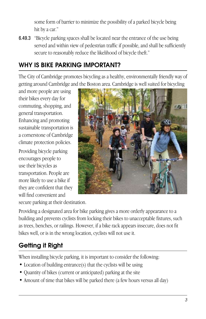some form of barrier to minimize the possibility of a parked bicycle being hit by a car."

6.49.3 "Bicycle parking spaces shall be located near the entrance of the use being served and within view of pedestrian traffic if possible, and shall be sufficiently secure to reasonably reduce the likelihood of bicycle theft."

## WHY IS BIKE PARKING IMPORTANT?

The City of Cambridge promotes bicycling as a healthy, environmentally friendly way of getting around Cambridge and the Boston area. Cambridge is well suited for bicycling

and more people are using their bikes every day for commuting, shopping, and general transportation. Enhancing and promoting sustainable transportation is a cornerstone of Cambridge climate protection policies.

Providing bicycle parking encourages people to use their bicycles as transportation. People are more likely to use a bike if they are confident that they will find convenient and



secure parking at their destination.

Providing a designated area for bike parking gives a more orderly appearance to a building and prevents cyclists from locking their bikes to unacceptable fixtures, such as trees, benches, or railings. However, if a bike rack appears insecure, does not fit bikes well, or is in the wrong location, cyclists will not use it.

## Getting it Right

When installing bicycle parking, it is important to consider the following:

- Location of building entrance(s) that the cyclists will be using
- Quantity of bikes (current or anticipated) parking at the site
- Amount of time that bikes will be parked there (a few hours versus all day)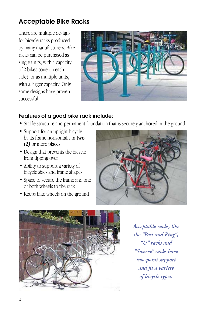## Acceptable Bike Racks

There are multiple designs for bicycle racks produced by many manufacturers. Bike racks can be purchased as single units, with a capacity of 2 bikes (one on each side), or as multiple units, with a larger capacity. Only some designs have proven successful.



#### Features of a good bike rack include:

- Stable structure and permanent foundation that is securely anchored in the ground
- Support for an upright bicycle by its frame horizontally in **two (2***)* or more places
- Design that prevents the bicycle from tipping over
- Ability to support a variety of bicycle sizes and frame shapes
- Space to secure the frame and one or both wheels to the rack
- Keeps bike wheels on the ground





*Acceptable racks, like the "Post and Ring", "U" racks and "Swerve" racks have two-point support and fit a variety of bicycle types.*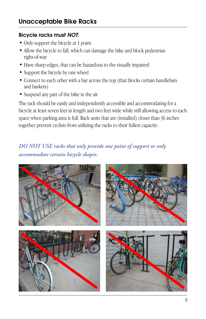#### Bicycle racks must *NOT*:

- Only support the bicycle at 1 point
- Allow the bicycle to fall, which can damage the bike and block pedestrian right-of-way
- Have sharp edges, that can be hazardous to the visually impaired
- Support the bicycle by one wheel
- Connect to each other with a bar across the top (that blocks certain handlebars and baskets)
- Suspend any part of the bike in the air

The rack should be easily and independently accessible and accommodating for a bicycle at least seven feet in length and two feet wide while still allowing access to each space when parking area is full. Rack units that are (installed) closer than 36 inches together prevent cyclists from utilizing the racks to their fullest capacity.

### *DO NOT USE racks that only provide one point of support or only accommodate certain bicycle shapes.*

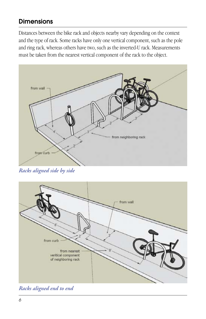## **Dimensions**

Distances between the bike rack and objects nearby vary depending on the context and the type of rack. Some racks have only one vertical component, such as the pole and ring rack, whereas others have two, such as the inverted-U rack. Measurements must be taken from the nearest vertical component of the rack to the object.



*Racks aligned side by side* 



*Racks aligned end to end*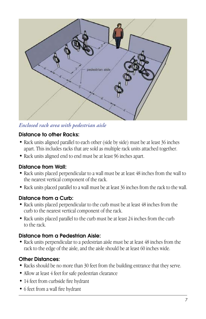

*Enclosed rack area with pedestrian aisle*

#### Distance to other Racks:

- Rack units aligned parallel to each other (side by side) must be at least 36 inches apart. This includes racks that are sold as multiple rack units attached together.
- Rack units aligned end to end must be at least 96 inches apart.

#### Distance from Wall:

- Rack units placed perpendicular to a wall must be at least 48 inches from the wall to the nearest vertical component of the rack.
- Rack units placed parallel to a wall must be at least 36 inches from the rack to the wall.

#### Distance from a Curb:

- Rack units placed perpendicular to the curb must be at least 48 inches from the curb to the nearest vertical component of the rack.
- Rack units placed parallel to the curb must be at least 24 inches from the curb to the rack.

#### Distance from a Pedestrian Aisle:

• Rack units perpendicular to a pedestrian aisle must be at least 48 inches from the rack to the edge of the aisle, and the aisle should be at least 60 inches wide.

#### Other Distances:

- Racks should be no more than 30 feet from the building entrance that they serve.
- Allow at least 4 feet for safe pedestrian clearance
- 14 feet from curbside fire hydrant
- 6 feet from a wall fire hydrant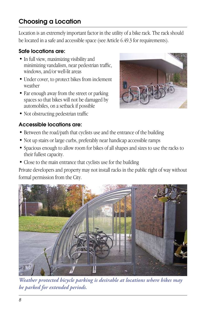## Choosing a Location

Location is an extremely important factor in the utility of a bike rack. The rack should be located in a safe and accessible space (see Article 6.49.3 for requirements).

#### Safe locations are:

- In full view, maximizing visibility and minimizing vandalism, near pedestrian traffic, windows, and/or well-lit areas
- Under cover, to protect bikes from inclement weather
- Far enough away from the street or parking spaces so that bikes will not be damaged by automobiles, on a setback if possible
- Not obstructing pedestrian traffic

#### Accessible locations are:

- Between the road/path that cyclists use and the entrance of the building
- Not up stairs or large curbs, preferably near handicap accessible ramps
- Spacious enough to allow room for bikes of all shapes and sizes to use the racks to their fullest capacity.
- Close to the main entrance that cyclists use for the building

Private developers and property may not install racks in the public right of way without formal permission from the City.



*Weather protected bicycle parking is desirable at locations where bikes may be parked for extended periods.*

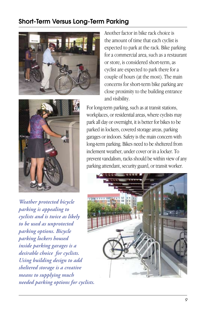## Short-Term Versus Long-Term Parking



Another factor in bike rack choice is the amount of time that each cyclist is expected to park at the rack. Bike parking for a commercial area, such as a restaurant or store, is considered short-term, as cyclist are expected to park there for a couple of hours (at the most). The main concerns for short-term bike parking are close proximity to the building entrance and visibility.



*Weather protected bicycle parking is appealing to cyclists and is twice as likely to be used as unprotected parking options. Bicycle parking lockers housed inside parking garages is a desirable choice for cyclists. Using building design to add sheltered storage is a creative means to supplying much needed parking options for cyclists.* 

For long-term parking, such as at transit stations, workplaces, or residential areas, where cyclists may park all day or overnight, it is better for bikes to be parked in lockers, covered storage areas, parking garages or indoors. Safety is the main concern with long-term parking. Bikes need to be sheltered from inclement weather, under cover or in a locker. To prevent vandalism, racks should be within view of any parking attendant, security guard, or transit worker.

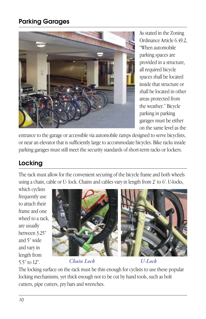## Parking Garages



As stated in the Zoning Ordinance Article 6.49.2, "When automobile parking spaces are provided in a structure, all required bicycle spaces shall be located inside that structure or shall be located in other areas protected from the weather." Bicycle parking in parking garages must be either on the same level as the

entrance to the garage or accessible via automobile ramps designed to serve bicyclists, or near an elevator that is sufficiently large to accommodate bicycles. Bike racks inside parking garages must still meet the security standards of short-term racks or lockers.

## Locking

The rack must allow for the convenient securing of the bicycle frame and both wheels using a chain, cable or U- lock. Chains and cables vary in length from 2' to 6'. U-locks,

which cyclists frequently use to attach their frame and one wheel to a rack, are usually between 3.25" and 5" wide and vary in length from 5.5" to 12".



*Chain Lock U-Lock*

The locking surface on the rack must be thin enough for cyclists to use these popular locking mechanisms, yet thick enough not to be cut by hand tools, such as bolt cutters, pipe cutters, pry bars and wrenches.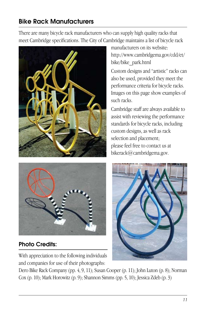## Bike Rack Manufacturers

There are many bicycle rack manufacturers who can supply high quality racks that meet Cambridge specifications. The City of Cambridge maintains a list of bicycle rack





## Photo Credits:

With appreciation to the following individuals and companies for use of their photographs:

manufacturers on its website: http://www.cambridgema.gov/cdd/et/ bike/bike\_park.html

Custom designs and "artistic" racks can also be used, provided they meet the performance criteria for bicycle racks. Images on this page show examples of such racks.

Cambridge staff are always available to assist with reviewing the performance standards for bicycle racks, including custom designs, as well as rack selection and placement; please feel free to contact us at bikerack@cambridgema.gov.



Dero Bike Rack Company (pp. 4, 9, 11); Susan Cooper (p. 11); John Luton (p. 8); Norman Cox (p. 10); Mark Horowitz (p. 9); Shannon Simms (pp. 5, 10); Jessica Zdeb (p. 3)